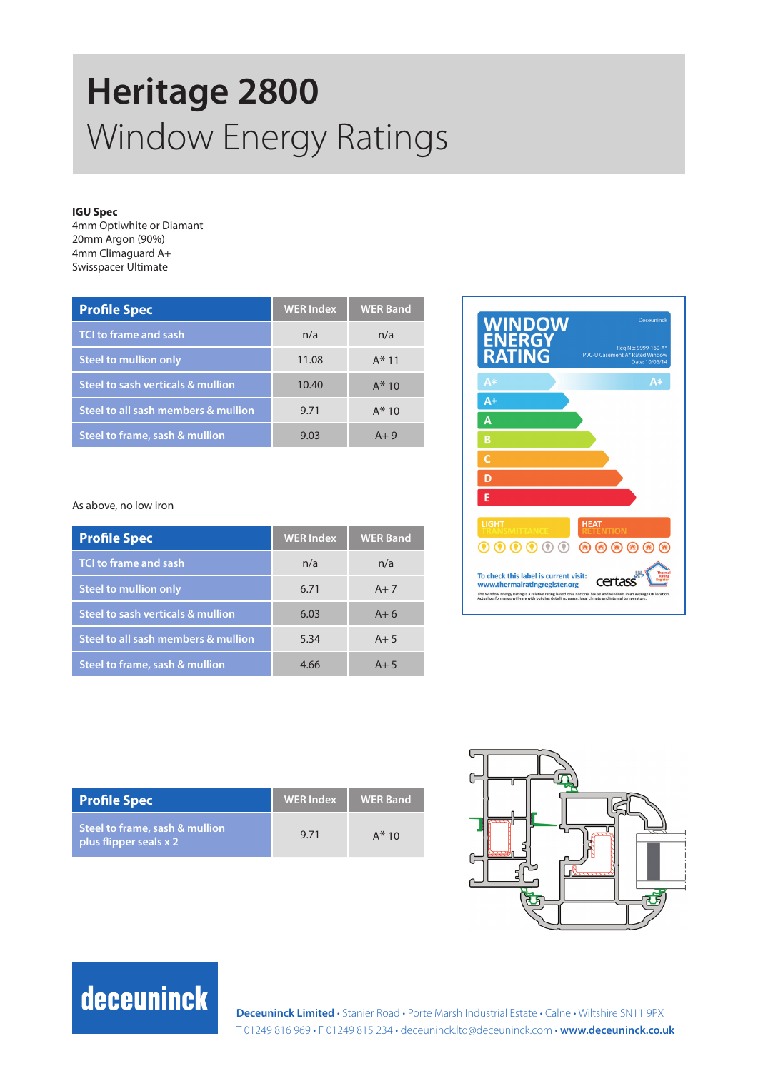# **Heritage 2800**  Window Energy Ratings

### **IGU Spec**

4mm Optiwhite or Diamant 20mm Argon (90%) 4mm Climaguard A+ Swisspacer Ultimate

| <b>Profile Spec</b>                 | <b>WER Index</b> | <b>WER Band</b> |
|-------------------------------------|------------------|-----------------|
| <b>TCI to frame and sash</b>        | n/a              | n/a             |
| <b>Steel to mullion only</b>        | 11.08            | $A*11$          |
| Steel to sash verticals & mullion   | 10.40            | $A*10$          |
| Steel to all sash members & mullion | 9.71             | $A*10$          |
| Steel to frame, sash & mullion      | 9.03             | $A+9$           |

### As above, no low iron

| <b>Profile Spec</b>                 | <b>WER</b> Index | <b>WER Band</b> |
|-------------------------------------|------------------|-----------------|
| <b>TCI to frame and sash</b>        | n/a              | n/a             |
| <b>Steel to mullion only</b>        | 6.71             | $A+7$           |
| Steel to sash verticals & mullion   | 6.03             | $A+6$           |
| Steel to all sash members & mullion | 5.34             | $A + 5$         |
| Steel to frame, sash & mullion      | 4.66             | $A + 5$         |



| <b>Profile Spec</b>                                      | <b>WER</b> Index | <b>WER Band</b> |
|----------------------------------------------------------|------------------|-----------------|
| Steel to frame, sash & mullion<br>plus flipper seals x 2 | 9.71             | $A*10$          |



### deceuninck

**Deceuninck Limited** • Stanier Road • Porte Marsh Industrial Estate • Calne • Wiltshire SN11 9PX T 01249 816 969 • F 01249 815 234 • deceuninck.ltd@deceuninck.com • **www.deceuninck.co.uk**